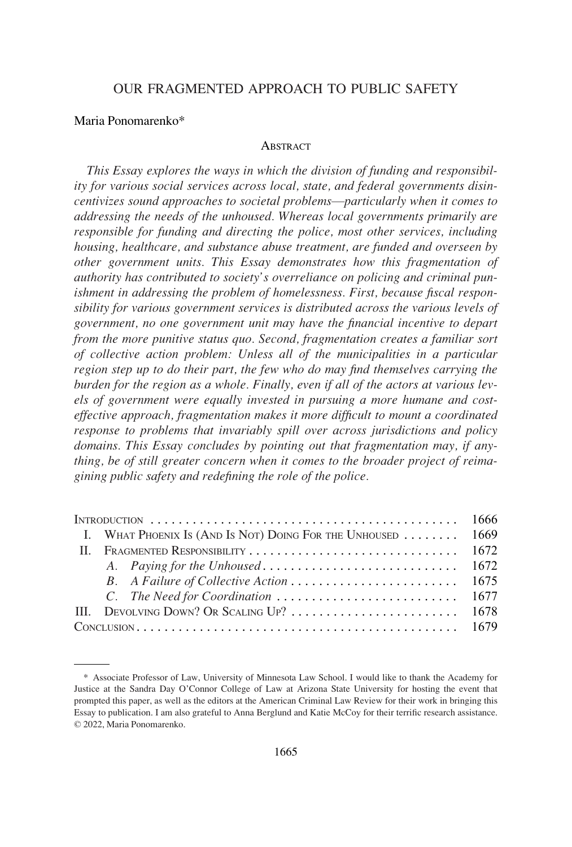# OUR FRAGMENTED APPROACH TO PUBLIC SAFETY

## Maria Ponomarenko\*

#### **ABSTRACT**

*This Essay explores the ways in which the division of funding and responsibility for various social services across local, state, and federal governments disincentivizes sound approaches to societal problems*—*particularly when it comes to addressing the needs of the unhoused. Whereas local governments primarily are responsible for funding and directing the police, most other services, including housing, healthcare, and substance abuse treatment, are funded and overseen by other government units. This Essay demonstrates how this fragmentation of authority has contributed to society's overreliance on policing and criminal punishment in addressing the problem of homelessness. First, because fiscal responsibility for various government services is distributed across the various levels of government, no one government unit may have the financial incentive to depart from the more punitive status quo. Second, fragmentation creates a familiar sort of collective action problem: Unless all of the municipalities in a particular region step up to do their part, the few who do may find themselves carrying the burden for the region as a whole. Finally, even if all of the actors at various levels of government were equally invested in pursuing a more humane and costeffective approach, fragmentation makes it more difficult to mount a coordinated response to problems that invariably spill over across jurisdictions and policy domains. This Essay concludes by pointing out that fragmentation may, if anything, be of still greater concern when it comes to the broader project of reimagining public safety and redefining the role of the police.* 

|  | I. WHAT PHOENIX IS (AND IS NOT) DOING FOR THE UNHOUSED |  | 1669 |
|--|--------------------------------------------------------|--|------|
|  |                                                        |  |      |
|  |                                                        |  |      |
|  |                                                        |  | 1675 |
|  |                                                        |  |      |
|  |                                                        |  |      |
|  |                                                        |  |      |

<sup>\*</sup> Associate Professor of Law, University of Minnesota Law School. I would like to thank the Academy for Justice at the Sandra Day O'Connor College of Law at Arizona State University for hosting the event that prompted this paper, as well as the editors at the American Criminal Law Review for their work in bringing this Essay to publication. I am also grateful to Anna Berglund and Katie McCoy for their terrific research assistance. © 2022, Maria Ponomarenko.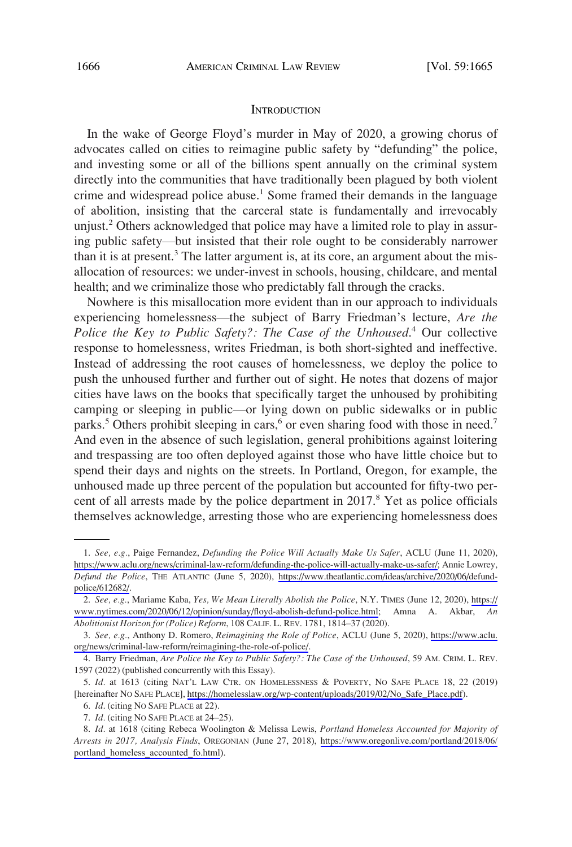#### **INTRODUCTION**

<span id="page-1-0"></span>In the wake of George Floyd's murder in May of 2020, a growing chorus of advocates called on cities to reimagine public safety by "defunding" the police, and investing some or all of the billions spent annually on the criminal system directly into the communities that have traditionally been plagued by both violent crime and widespread police abuse.<sup>1</sup> Some framed their demands in the language of abolition, insisting that the carceral state is fundamentally and irrevocably unjust.2 Others acknowledged that police may have a limited role to play in assuring public safety—but insisted that their role ought to be considerably narrower than it is at present.<sup>3</sup> The latter argument is, at its core, an argument about the misallocation of resources: we under-invest in schools, housing, childcare, and mental health; and we criminalize those who predictably fall through the cracks.

Nowhere is this misallocation more evident than in our approach to individuals experiencing homelessness—the subject of Barry Friedman's lecture, *Are the Police the Key to Public Safety?: The Case of the Unhoused*. 4 Our collective response to homelessness, writes Friedman, is both short-sighted and ineffective. Instead of addressing the root causes of homelessness, we deploy the police to push the unhoused further and further out of sight. He notes that dozens of major cities have laws on the books that specifically target the unhoused by prohibiting camping or sleeping in public—or lying down on public sidewalks or in public parks.<sup>5</sup> Others prohibit sleeping in cars,<sup>6</sup> or even sharing food with those in need.<sup>7</sup> And even in the absence of such legislation, general prohibitions against loitering and trespassing are too often deployed against those who have little choice but to spend their days and nights on the streets. In Portland, Oregon, for example, the unhoused made up three percent of the population but accounted for fifty-two percent of all arrests made by the police department in 2017.<sup>8</sup> Yet as police officials themselves acknowledge, arresting those who are experiencing homelessness does

*See, e.g.*, Paige Fernandez, *Defunding the Police Will Actually Make Us Safer*, ACLU (June 11, 2020), 1. [https://www.aclu.org/news/criminal-law-reform/defunding-the-police-will-actually-make-us-safer/;](https://www.aclu.org/news/criminal-law-reform/defunding-the-police-will-actually-make-us-safer/) Annie Lowrey, *Defund the Police*, THE ATLANTIC (June 5, 2020), [https://www.theatlantic.com/ideas/archive/2020/06/defund](https://www.theatlantic.com/ideas/archive/2020/06/defund-police/612682/)[police/612682/.](https://www.theatlantic.com/ideas/archive/2020/06/defund-police/612682/)

*See, e.g.*, Mariame Kaba, *Yes, We Mean Literally Abolish the Police*, N.Y. TIMES (June 12, 2020), [https://](https://www.nytimes.com/2020/06/12/opinion/sunday/floyd-abolish-defund-police.html) 2. [www.nytimes.com/2020/06/12/opinion/sunday/floyd-abolish-defund-police.html;](https://www.nytimes.com/2020/06/12/opinion/sunday/floyd-abolish-defund-police.html) Amna A. Akbar, *An Abolitionist Horizon for (Police) Reform*, 108 CALIF. L. REV. 1781, 1814–37 (2020).

*See, e.g.*, Anthony D. Romero, *Reimagining the Role of Police*, ACLU (June 5, 2020), [https://www.aclu.](https://www.aclu.org/news/criminal-law-reform/reimagining-the-role-of-police/) 3. [org/news/criminal-law-reform/reimagining-the-role-of-police/](https://www.aclu.org/news/criminal-law-reform/reimagining-the-role-of-police/).

<sup>4.</sup> Barry Friedman, *Are Police the Key to Public Safety?: The Case of the Unhoused*, 59 AM. CRIM. L. REV. 1597 (2022) (published concurrently with this Essay).

<sup>5.</sup> *Id.* at 1613 (citing NAT'L LAW CTR. ON HOMELESSNESS & POVERTY, NO SAFE PLACE 18, 22 (2019) [hereinafter NO SAFE PLACE], [https://homelesslaw.org/wp-content/uploads/2019/02/No\\_Safe\\_Place.pdf](https://homelesslaw.org/wp-content/uploads/2019/02/No_Safe_Place.pdf)).

<sup>6.</sup> *Id*. (citing NO SAFE PLACE at 22).

<sup>7.</sup> *Id.* (citing NO SAFE PLACE at 24–25).

*Id.* at 1618 (citing Rebeca Woolington & Melissa Lewis, *Portland Homeless Accounted for Majority of*  8. *Arrests in 2017, Analysis Finds*, OREGONIAN (June 27, 2018), [https://www.oregonlive.com/portland/2018/06/](https://www.oregonlive.com/portland/2018/06/portland_homeless_accounted_fo.html) [portland\\_homeless\\_accounted\\_fo.html](https://www.oregonlive.com/portland/2018/06/portland_homeless_accounted_fo.html)).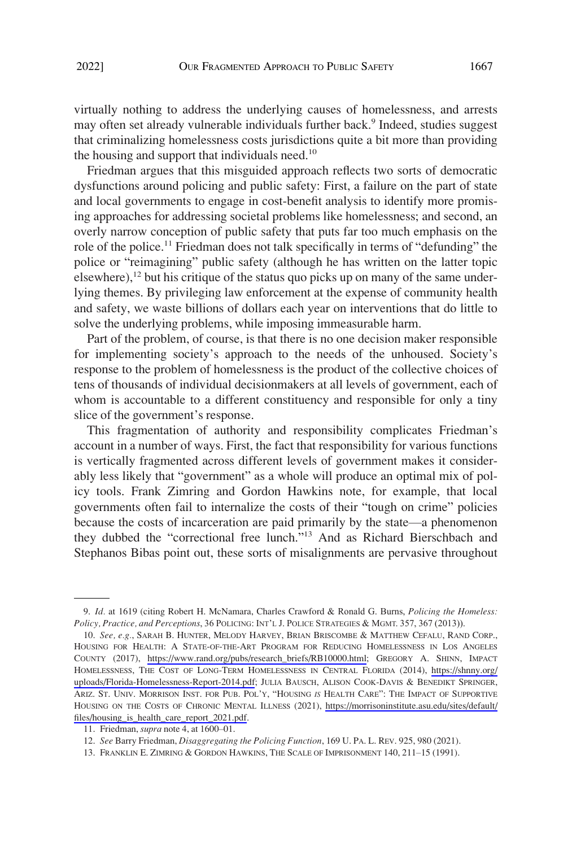virtually nothing to address the underlying causes of homelessness, and arrests may often set already vulnerable individuals further back.<sup>9</sup> Indeed, studies suggest that criminalizing homelessness costs jurisdictions quite a bit more than providing the housing and support that individuals need.<sup>10</sup>

Friedman argues that this misguided approach reflects two sorts of democratic dysfunctions around policing and public safety: First, a failure on the part of state and local governments to engage in cost-benefit analysis to identify more promising approaches for addressing societal problems like homelessness; and second, an overly narrow conception of public safety that puts far too much emphasis on the role of the police.<sup>11</sup> Friedman does not talk specifically in terms of "defunding" the police or "reimagining" public safety (although he has written on the latter topic elsewhere),<sup>12</sup> but his critique of the status quo picks up on many of the same underlying themes. By privileging law enforcement at the expense of community health and safety, we waste billions of dollars each year on interventions that do little to solve the underlying problems, while imposing immeasurable harm.

Part of the problem, of course, is that there is no one decision maker responsible for implementing society's approach to the needs of the unhoused. Society's response to the problem of homelessness is the product of the collective choices of tens of thousands of individual decisionmakers at all levels of government, each of whom is accountable to a different constituency and responsible for only a tiny slice of the government's response.

This fragmentation of authority and responsibility complicates Friedman's account in a number of ways. First, the fact that responsibility for various functions is vertically fragmented across different levels of government makes it considerably less likely that "government" as a whole will produce an optimal mix of policy tools. Frank Zimring and Gordon Hawkins note, for example, that local governments often fail to internalize the costs of their "tough on crime" policies because the costs of incarceration are paid primarily by the state—a phenomenon they dubbed the "correctional free lunch."13 And as Richard Bierschbach and Stephanos Bibas point out, these sorts of misalignments are pervasive throughout

<sup>9.</sup> *Id.* at 1619 (citing Robert H. McNamara, Charles Crawford & Ronald G. Burns, *Policing the Homeless: Policy, Practice, and Perceptions*, 36 POLICING: INT'L J. POLICE STRATEGIES & MGMT. 357, 367 (2013)).

<sup>10.</sup> See, e.g., SARAH B. HUNTER, MELODY HARVEY, BRIAN BRISCOMBE & MATTHEW CEFALU, RAND CORP., HOUSING FOR HEALTH: A STATE-OF-THE-ART PROGRAM FOR REDUCING HOMELESSNESS IN LOS ANGELES COUNTY (2017), [https://www.rand.org/pubs/research\\_briefs/RB10000.html;](https://www.rand.org/pubs/research_briefs/RB10000.html) GREGORY A. SHINN, IMPACT HOMELESSNESS, THE COST OF LONG-TERM HOMELESSNESS IN CENTRAL FLORIDA (2014), [https://shnny.org/](https://shnny.org/uploads/Florida-Homelessness-Report-2014.pdf)  [uploads/Florida-Homelessness-Report-2014.pdf;](https://shnny.org/uploads/Florida-Homelessness-Report-2014.pdf) JULIA BAUSCH, ALISON COOK-DAVIS & BENEDIKT SPRINGER, ARIZ. ST. UNIV. MORRISON INST. FOR PUB. POL'Y, "HOUSING *IS* HEALTH CARE": THE IMPACT OF SUPPORTIVE HOUSING ON THE COSTS OF CHRONIC MENTAL ILLNESS (2021), [https://morrisoninstitute.asu.edu/sites/default/](https://morrisoninstitute.asu.edu/sites/default/files/housing_is_health_care_report_2021.pdf) [files/housing\\_is\\_health\\_care\\_report\\_2021.pdf.](https://morrisoninstitute.asu.edu/sites/default/files/housing_is_health_care_report_2021.pdf)

<sup>11.</sup> Friedman, *supra* note 4, at 1600–01.

<sup>12.</sup> *See* Barry Friedman, *Disaggregating the Policing Function*, 169 U. PA. L. REV. 925, 980 (2021).

<sup>13.</sup> FRANKLIN E. ZIMRING & GORDON HAWKINS, THE SCALE OF IMPRISONMENT 140, 211–15 (1991).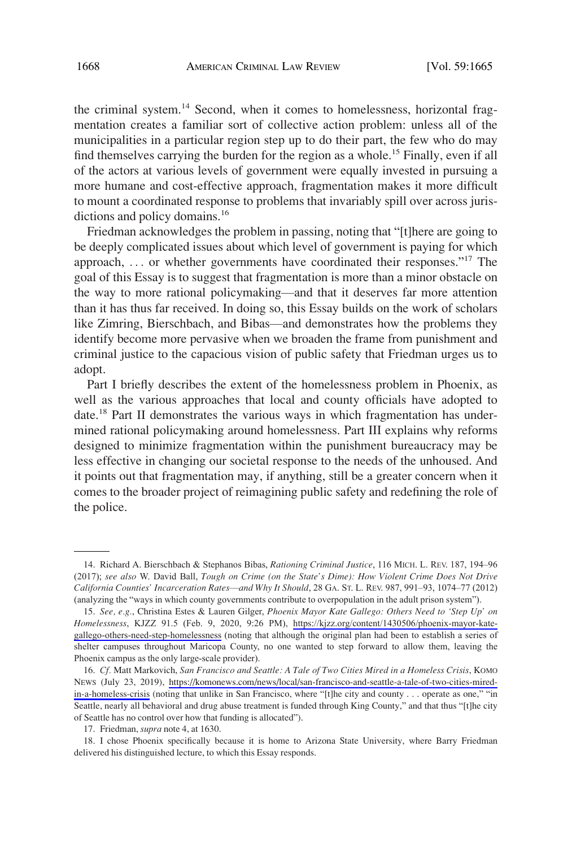the criminal system.<sup>14</sup> Second, when it comes to homelessness, horizontal fragmentation creates a familiar sort of collective action problem: unless all of the municipalities in a particular region step up to do their part, the few who do may find themselves carrying the burden for the region as a whole.<sup>15</sup> Finally, even if all of the actors at various levels of government were equally invested in pursuing a more humane and cost-effective approach, fragmentation makes it more difficult to mount a coordinated response to problems that invariably spill over across jurisdictions and policy domains.<sup>16</sup>

Friedman acknowledges the problem in passing, noting that "[t]here are going to be deeply complicated issues about which level of government is paying for which approach, ... or whether governments have coordinated their responses."<sup>17</sup> The goal of this Essay is to suggest that fragmentation is more than a minor obstacle on the way to more rational policymaking—and that it deserves far more attention than it has thus far received. In doing so, this Essay builds on the work of scholars like Zimring, Bierschbach, and Bibas—and demonstrates how the problems they identify become more pervasive when we broaden the frame from punishment and criminal justice to the capacious vision of public safety that Friedman urges us to adopt.

Part I briefly describes the extent of the homelessness problem in Phoenix, as well as the various approaches that local and county officials have adopted to date.<sup>18</sup> Part II demonstrates the various ways in which fragmentation has undermined rational policymaking around homelessness. Part III explains why reforms designed to minimize fragmentation within the punishment bureaucracy may be less effective in changing our societal response to the needs of the unhoused. And it points out that fragmentation may, if anything, still be a greater concern when it comes to the broader project of reimagining public safety and redefining the role of the police.

<sup>14.</sup> Richard A. Bierschbach & Stephanos Bibas, *Rationing Criminal Justice*, 116 MICH. L. REV. 187, 194–96 (2017); *see also* W. David Ball, *Tough on Crime (on the State's Dime): How Violent Crime Does Not Drive California Counties' Incarceration Rates*—*and Why It Should*, 28 GA. ST. L. REV. 987, 991–93, 1074–77 (2012) (analyzing the "ways in which county governments contribute to overpopulation in the adult prison system").

*See, e.g.*, Christina Estes & Lauren Gilger, *Phoenix Mayor Kate Gallego: Others Need to 'Step Up' on*  15. *Homelessness*, KJZZ 91.5 (Feb. 9, 2020, 9:26 PM), [https://kjzz.org/content/1430506/phoenix-mayor-kate](https://kjzz.org/content/1430506/phoenix-mayor-kate-gallego-others-need-step-homelessness)[gallego-others-need-step-homelessness](https://kjzz.org/content/1430506/phoenix-mayor-kate-gallego-others-need-step-homelessness) (noting that although the original plan had been to establish a series of shelter campuses throughout Maricopa County, no one wanted to step forward to allow them, leaving the Phoenix campus as the only large-scale provider).

*Cf.* Matt Markovich, *San Francisco and Seattle: A Tale of Two Cities Mired in a Homeless Crisis*, KOMO 16. NEWS (July 23, 2019), [https://komonews.com/news/local/san-francisco-and-seattle-a-tale-of-two-cities-mired](https://komonews.com/news/local/san-francisco-and-seattle-a-tale-of-two-cities-mired-in-a-homeless-crisis)[in-a-homeless-crisis](https://komonews.com/news/local/san-francisco-and-seattle-a-tale-of-two-cities-mired-in-a-homeless-crisis) (noting that unlike in San Francisco, where "[t]he city and county . . . operate as one," "in Seattle, nearly all behavioral and drug abuse treatment is funded through King County," and that thus "[t]he city of Seattle has no control over how that funding is allocated").

<sup>17.</sup> Friedman, *supra* note 4, at 1630.

<sup>18.</sup> I chose Phoenix specifically because it is home to Arizona State University, where Barry Friedman delivered his distinguished lecture, to which this Essay responds.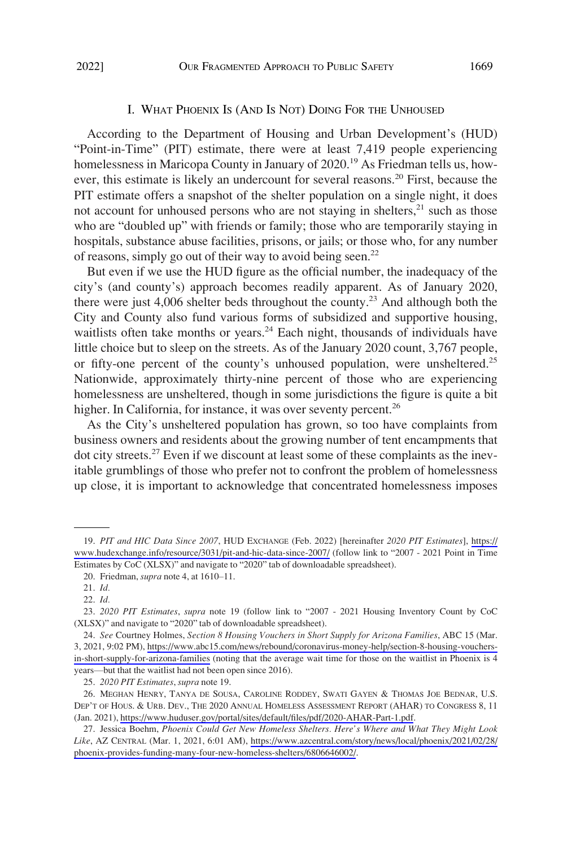### I. WHAT PHOENIX IS (AND IS NOT) DOING FOR THE UNHOUSED

<span id="page-4-0"></span>According to the Department of Housing and Urban Development's (HUD) "Point-in-Time" (PIT) estimate, there were at least 7,419 people experiencing homelessness in Maricopa County in January of 2020.<sup>19</sup> As Friedman tells us, however, this estimate is likely an undercount for several reasons.20 First, because the PIT estimate offers a snapshot of the shelter population on a single night, it does not account for unhoused persons who are not staying in shelters, $^{21}$  such as those who are "doubled up" with friends or family; those who are temporarily staying in hospitals, substance abuse facilities, prisons, or jails; or those who, for any number of reasons, simply go out of their way to avoid being seen.<sup>22</sup>

But even if we use the HUD figure as the official number, the inadequacy of the city's (and county's) approach becomes readily apparent. As of January 2020, there were just 4,006 shelter beds throughout the county.<sup>23</sup> And although both the City and County also fund various forms of subsidized and supportive housing, waitlists often take months or years.<sup>24</sup> Each night, thousands of individuals have little choice but to sleep on the streets. As of the January 2020 count, 3,767 people, or fifty-one percent of the county's unhoused population, were unsheltered.<sup>25</sup> Nationwide, approximately thirty-nine percent of those who are experiencing homelessness are unsheltered, though in some jurisdictions the figure is quite a bit higher. In California, for instance, it was over seventy percent.<sup>26</sup>

As the City's unsheltered population has grown, so too have complaints from business owners and residents about the growing number of tent encampments that dot city streets.<sup>27</sup> Even if we discount at least some of these complaints as the inevitable grumblings of those who prefer not to confront the problem of homelessness up close, it is important to acknowledge that concentrated homelessness imposes

*PIT and HIC Data Since 2007*, HUD EXCHANGE (Feb. 2022) [hereinafter *2020 PIT Estimates*], [https://](https://www.hudexchange.info/resource/3031/pit-and-hic-data-since-2007/) 19. [www.hudexchange.info/resource/3031/pit-and-hic-data-since-2007/](https://www.hudexchange.info/resource/3031/pit-and-hic-data-since-2007/) (follow link to "2007 - 2021 Point in Time Estimates by CoC (XLSX)" and navigate to "2020" tab of downloadable spreadsheet).

<sup>20.</sup> Friedman, *supra* note 4, at 1610–11.

<sup>21.</sup> *Id.* 

<sup>22.</sup> *Id.* 

<sup>23.</sup> *2020 PIT Estimates*, *supra* note 19 (follow link to "2007 - 2021 Housing Inventory Count by CoC (XLSX)" and navigate to "2020" tab of downloadable spreadsheet).

*See* Courtney Holmes, *Section 8 Housing Vouchers in Short Supply for Arizona Families*, ABC 15 (Mar. 24. 3, 2021, 9:02 PM), [https://www.abc15.com/news/rebound/coronavirus-money-help/section-8-housing-vouchers](https://www.abc15.com/news/rebound/coronavirus-money-help/section-8-housing-vouchers-in-short-supply-for-arizona-families)[in-short-supply-for-arizona-families](https://www.abc15.com/news/rebound/coronavirus-money-help/section-8-housing-vouchers-in-short-supply-for-arizona-families) (noting that the average wait time for those on the waitlist in Phoenix is 4 years—but that the waitlist had not been open since 2016).

<sup>25.</sup> *2020 PIT Estimates*, *supra* note 19.

<sup>26.</sup> MEGHAN HENRY, TANYA DE SOUSA, CAROLINE RODDEY, SWATI GAYEN & THOMAS JOE BEDNAR, U.S. DEP'T OF HOUS. & URB. DEV., THE 2020 ANNUAL HOMELESS ASSESSMENT REPORT (AHAR) TO CONGRESS 8, 11 (Jan. 2021), [https://www.huduser.gov/portal/sites/default/files/pdf/2020-AHAR-Part-1.pdf.](https://www.huduser.gov/portal/sites/default/files/pdf/2020-AHAR-Part-1.pdf)

<sup>27.</sup> Jessica Boehm, Phoenix Could Get New Homeless Shelters. Here's Where and What They Might Look *Like*, AZ CENTRAL (Mar. 1, 2021, 6:01 AM), [https://www.azcentral.com/story/news/local/phoenix/2021/02/28/](https://www.azcentral.com/story/news/local/phoenix/2021/02/28/phoenix-provides-funding-many-four-new-homeless-shelters/6806646002/) [phoenix-provides-funding-many-four-new-homeless-shelters/6806646002/.](https://www.azcentral.com/story/news/local/phoenix/2021/02/28/phoenix-provides-funding-many-four-new-homeless-shelters/6806646002/)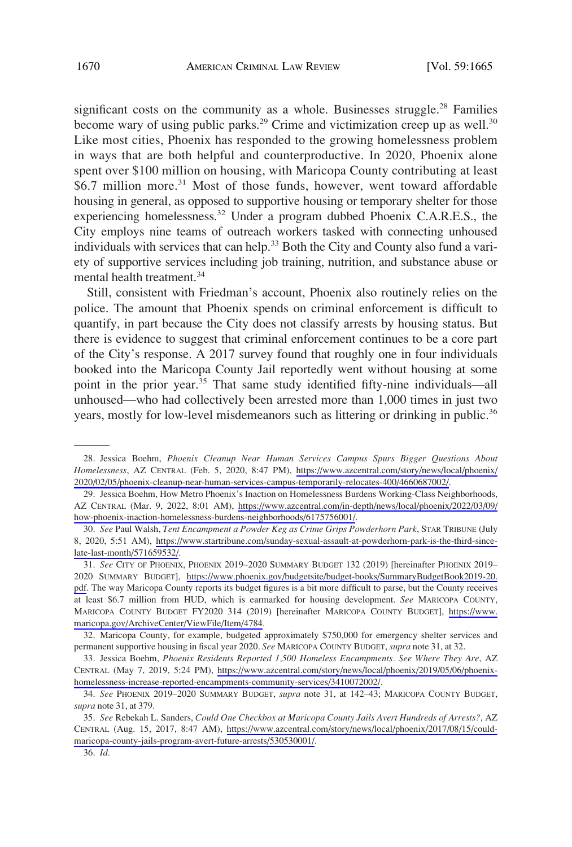significant costs on the community as a whole. Businesses struggle.<sup>28</sup> Families become wary of using public parks.<sup>29</sup> Crime and victimization creep up as well.<sup>30</sup> Like most cities, Phoenix has responded to the growing homelessness problem in ways that are both helpful and counterproductive. In 2020, Phoenix alone spent over \$100 million on housing, with Maricopa County contributing at least \$6.7 million more.<sup>31</sup> Most of those funds, however, went toward affordable housing in general, as opposed to supportive housing or temporary shelter for those experiencing homelessness.<sup>32</sup> Under a program dubbed Phoenix C.A.R.E.S., the City employs nine teams of outreach workers tasked with connecting unhoused individuals with services that can help.<sup>33</sup> Both the City and County also fund a variety of supportive services including job training, nutrition, and substance abuse or mental health treatment.<sup>34</sup>

Still, consistent with Friedman's account, Phoenix also routinely relies on the police. The amount that Phoenix spends on criminal enforcement is difficult to quantify, in part because the City does not classify arrests by housing status. But there is evidence to suggest that criminal enforcement continues to be a core part of the City's response. A 2017 survey found that roughly one in four individuals booked into the Maricopa County Jail reportedly went without housing at some point in the prior year.<sup>35</sup> That same study identified fifty-nine individuals—all unhoused—who had collectively been arrested more than 1,000 times in just two years, mostly for low-level misdemeanors such as littering or drinking in public.<sup>36</sup>

<sup>28.</sup> Jessica Boehm, Phoenix Cleanup Near Human Services Campus Spurs Bigger Questions About *Homelessness*, AZ CENTRAL (Feb. 5, 2020, 8:47 PM), [https://www.azcentral.com/story/news/local/phoenix/](https://www.azcentral.com/story/news/local/phoenix/2020/02/05/phoenix-cleanup-near-human-services-campus-temporarily-relocates-400/4660687002/)  [2020/02/05/phoenix-cleanup-near-human-services-campus-temporarily-relocates-400/4660687002/](https://www.azcentral.com/story/news/local/phoenix/2020/02/05/phoenix-cleanup-near-human-services-campus-temporarily-relocates-400/4660687002/).

<sup>29.</sup> Jessica Boehm, How Metro Phoenix's Inaction on Homelessness Burdens Working-Class Neighborhoods, AZ CENTRAL (Mar. 9, 2022, 8:01 AM), [https://www.azcentral.com/in-depth/news/local/phoenix/2022/03/09/](https://www.azcentral.com/in-depth/news/local/phoenix/2022/03/09/how-phoenix-inaction-homelessness-burdens-neighborhoods/6175756001/) [how-phoenix-inaction-homelessness-burdens-neighborhoods/6175756001/](https://www.azcentral.com/in-depth/news/local/phoenix/2022/03/09/how-phoenix-inaction-homelessness-burdens-neighborhoods/6175756001/).

*See* Paul Walsh, *Tent Encampment a Powder Keg as Crime Grips Powderhorn Park*, STAR TRIBUNE (July 30. 8, 2020, 5:51 AM), [https://www.startribune.com/sunday-sexual-assault-at-powderhorn-park-is-the-third-since](https://www.startribune.com/sunday-sexual-assault-at-powderhorn-park-is-the-third-since-late-last-month/571659532/)[late-last-month/571659532/.](https://www.startribune.com/sunday-sexual-assault-at-powderhorn-park-is-the-third-since-late-last-month/571659532/)

*See* CITY OF PHOENIX, PHOENIX 2019–2020 SUMMARY BUDGET 132 (2019) [hereinafter PHOENIX 2019– 31. 2020 SUMMARY BUDGET], [https://www.phoenix.gov/budgetsite/budget-books/SummaryBudgetBook2019-20.](https://www.phoenix.gov/budgetsite/budget-books/SummaryBudgetBook2019-20.pdf) [pdf.](https://www.phoenix.gov/budgetsite/budget-books/SummaryBudgetBook2019-20.pdf) The way Maricopa County reports its budget figures is a bit more difficult to parse, but the County receives at least \$6.7 million from HUD, which is earmarked for housing development. *See* MARICOPA COUNTY, MARICOPA COUNTY BUDGET FY2020 314 (2019) [hereinafter MARICOPA COUNTY BUDGET], [https://www.](https://www.maricopa.gov/ArchiveCenter/ViewFile/Item/4784)  [maricopa.gov/ArchiveCenter/ViewFile/Item/4784](https://www.maricopa.gov/ArchiveCenter/ViewFile/Item/4784).

<sup>32.</sup> Maricopa County, for example, budgeted approximately \$750,000 for emergency shelter services and permanent supportive housing in fiscal year 2020. *See* MARICOPA COUNTY BUDGET, *supra* note 31, at 32.

<sup>33.</sup> Jessica Boehm, *Phoenix Residents Reported 1,500 Homeless Encampments. See Where They Are*, AZ CENTRAL (May 7, 2019, 5:24 PM), [https://www.azcentral.com/story/news/local/phoenix/2019/05/06/phoenix](https://www.azcentral.com/story/news/local/phoenix/2019/05/06/phoenix-homelessness-increase-reported-encampments-community-services/3410072002/)[homelessness-increase-reported-encampments-community-services/3410072002/](https://www.azcentral.com/story/news/local/phoenix/2019/05/06/phoenix-homelessness-increase-reported-encampments-community-services/3410072002/).

<sup>34.</sup> *See* PHOENIX 2019–2020 SUMMARY BUDGET, *supra* note 31, at 142–43; MARICOPA COUNTY BUDGET, *supra* note 31, at 379.

*See* Rebekah L. Sanders, *Could One Checkbox at Maricopa County Jails Avert Hundreds of Arrests?*, AZ 35. CENTRAL (Aug. 15, 2017, 8:47 AM), [https://www.azcentral.com/story/news/local/phoenix/2017/08/15/could](https://www.azcentral.com/story/news/local/phoenix/2017/08/15/could-maricopa-county-jails-program-avert-future-arrests/530530001/)[maricopa-county-jails-program-avert-future-arrests/530530001/](https://www.azcentral.com/story/news/local/phoenix/2017/08/15/could-maricopa-county-jails-program-avert-future-arrests/530530001/).

<sup>36.</sup> *Id.*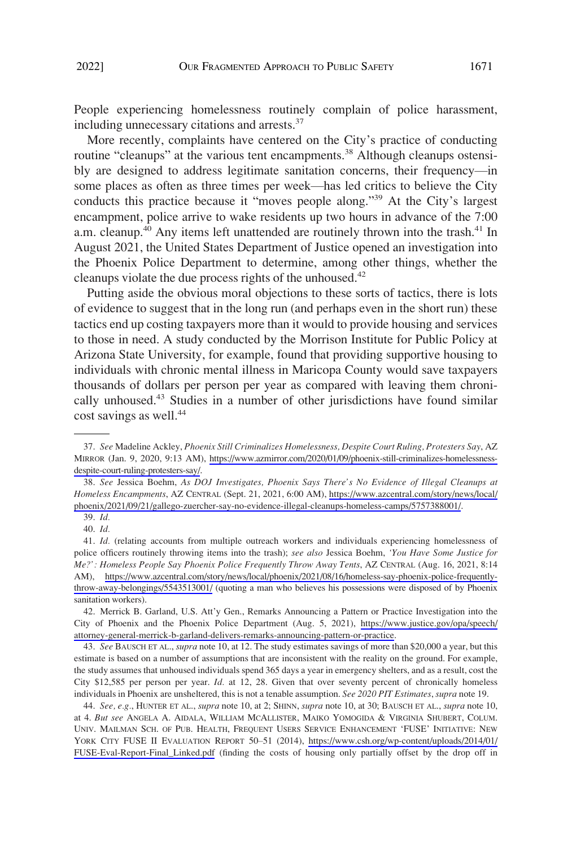People experiencing homelessness routinely complain of police harassment, including unnecessary citations and arrests.37

More recently, complaints have centered on the City's practice of conducting routine "cleanups" at the various tent encampments.<sup>38</sup> Although cleanups ostensibly are designed to address legitimate sanitation concerns, their frequency—in some places as often as three times per week—has led critics to believe the City conducts this practice because it "moves people along."39 At the City's largest encampment, police arrive to wake residents up two hours in advance of the 7:00 a.m. cleanup.<sup>40</sup> Any items left unattended are routinely thrown into the trash.<sup>41</sup> In August 2021, the United States Department of Justice opened an investigation into the Phoenix Police Department to determine, among other things, whether the cleanups violate the due process rights of the unhoused.<sup>42</sup>

Putting aside the obvious moral objections to these sorts of tactics, there is lots of evidence to suggest that in the long run (and perhaps even in the short run) these tactics end up costing taxpayers more than it would to provide housing and services to those in need. A study conducted by the Morrison Institute for Public Policy at Arizona State University, for example, found that providing supportive housing to individuals with chronic mental illness in Maricopa County would save taxpayers thousands of dollars per person per year as compared with leaving them chronically unhoused.43 Studies in a number of other jurisdictions have found similar cost savings as well.<sup>44</sup>

40. *Id.* 

*See* Madeline Ackley, *Phoenix Still Criminalizes Homelessness, Despite Court Ruling, Protesters Say*, AZ 37. MIRROR (Jan. 9, 2020, 9:13 AM), [https://www.azmirror.com/2020/01/09/phoenix-still-criminalizes-homelessness](https://www.azmirror.com/2020/01/09/phoenix-still-criminalizes-homelessness-despite-court-ruling-protesters-say/)[despite-court-ruling-protesters-say/](https://www.azmirror.com/2020/01/09/phoenix-still-criminalizes-homelessness-despite-court-ruling-protesters-say/).

*See* Jessica Boehm, *As DOJ Investigates, Phoenix Says There's No Evidence of Illegal Cleanups at*  38. *Homeless Encampments*, AZ CENTRAL (Sept. 21, 2021, 6:00 AM), [https://www.azcentral.com/story/news/local/](https://www.azcentral.com/story/news/local/phoenix/2021/09/21/gallego-zuercher-say-no-evidence-illegal-cleanups-homeless-camps/5757388001/) [phoenix/2021/09/21/gallego-zuercher-say-no-evidence-illegal-cleanups-homeless-camps/5757388001/.](https://www.azcentral.com/story/news/local/phoenix/2021/09/21/gallego-zuercher-say-no-evidence-illegal-cleanups-homeless-camps/5757388001/)

<sup>39.</sup> *Id.* 

<sup>41.</sup> *Id.* (relating accounts from multiple outreach workers and individuals experiencing homelessness of police officers routinely throwing items into the trash); *see also* Jessica Boehm, *'You Have Some Justice for Me?': Homeless People Say Phoenix Police Frequently Throw Away Tents*, AZ CENTRAL (Aug. 16, 2021, 8:14 AM), [https://www.azcentral.com/story/news/local/phoenix/2021/08/16/homeless-say-phoenix-police-frequently](https://www.azcentral.com/story/news/local/phoenix/2021/08/16/homeless-say-phoenix-police-frequently-throw-away-belongings/5543513001/)[throw-away-belongings/5543513001/](https://www.azcentral.com/story/news/local/phoenix/2021/08/16/homeless-say-phoenix-police-frequently-throw-away-belongings/5543513001/) (quoting a man who believes his possessions were disposed of by Phoenix sanitation workers).

<sup>42.</sup> Merrick B. Garland, U.S. Att'y Gen., Remarks Announcing a Pattern or Practice Investigation into the City of Phoenix and the Phoenix Police Department (Aug. 5, 2021), [https://www.justice.gov/opa/speech/](https://www.justice.gov/opa/speech/attorney-general-merrick-b-garland-delivers-remarks-announcing-pattern-or-practice) [attorney-general-merrick-b-garland-delivers-remarks-announcing-pattern-or-practice](https://www.justice.gov/opa/speech/attorney-general-merrick-b-garland-delivers-remarks-announcing-pattern-or-practice).

<sup>43.</sup> *See* BAUSCH ET AL., *supra* note 10, at 12. The study estimates savings of more than \$20,000 a year, but this estimate is based on a number of assumptions that are inconsistent with the reality on the ground. For example, the study assumes that unhoused individuals spend 365 days a year in emergency shelters, and as a result, cost the City \$12,585 per person per year. *Id.* at 12, 28. Given that over seventy percent of chronically homeless individuals in Phoenix are unsheltered, this is not a tenable assumption. *See 2020 PIT Estimates*, *supra* note 19.

*See, e.g.*, HUNTER ET AL., *supra* note 10, at 2; SHINN, *supra* note 10, at 30; BAUSCH ET AL., *supra* note 10, 44. at 4. *But see* ANGELA A. AIDALA, WILLIAM MCALLISTER, MAIKO YOMOGIDA & VIRGINIA SHUBERT, COLUM. UNIV. MAILMAN SCH. OF PUB. HEALTH, FREQUENT USERS SERVICE ENHANCEMENT 'FUSE' INITIATIVE: NEW YORK CITY FUSE II EVALUATION REPORT 50–51 (2014), [https://www.csh.org/wp-content/uploads/2014/01/](https://www.csh.org/wp-content/uploads/2014/01/FUSE-Eval-Report-Final_Linked.pdf)  [FUSE-Eval-Report-Final\\_Linked.pdf](https://www.csh.org/wp-content/uploads/2014/01/FUSE-Eval-Report-Final_Linked.pdf) (finding the costs of housing only partially offset by the drop off in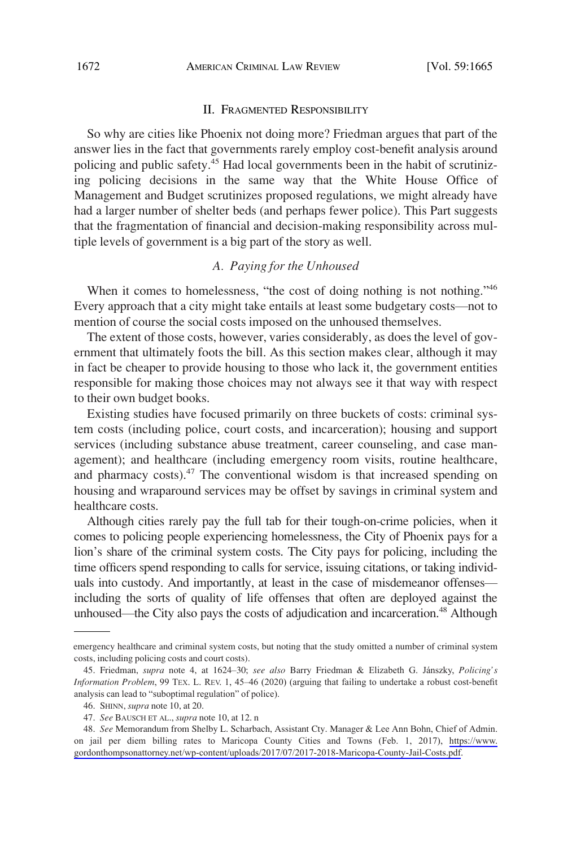#### II. FRAGMENTED RESPONSIBILITY

<span id="page-7-0"></span>So why are cities like Phoenix not doing more? Friedman argues that part of the answer lies in the fact that governments rarely employ cost-benefit analysis around policing and public safety.<sup>45</sup> Had local governments been in the habit of scrutinizing policing decisions in the same way that the White House Office of Management and Budget scrutinizes proposed regulations, we might already have had a larger number of shelter beds (and perhaps fewer police). This Part suggests that the fragmentation of financial and decision-making responsibility across multiple levels of government is a big part of the story as well.

# *A. Paying for the Unhoused*

When it comes to homelessness, "the cost of doing nothing is not nothing."<sup>46</sup> Every approach that a city might take entails at least some budgetary costs—not to mention of course the social costs imposed on the unhoused themselves.

The extent of those costs, however, varies considerably, as does the level of government that ultimately foots the bill. As this section makes clear, although it may in fact be cheaper to provide housing to those who lack it, the government entities responsible for making those choices may not always see it that way with respect to their own budget books.

Existing studies have focused primarily on three buckets of costs: criminal system costs (including police, court costs, and incarceration); housing and support services (including substance abuse treatment, career counseling, and case management); and healthcare (including emergency room visits, routine healthcare, and pharmacy costs). $47$  The conventional wisdom is that increased spending on housing and wraparound services may be offset by savings in criminal system and healthcare costs.

Although cities rarely pay the full tab for their tough-on-crime policies, when it comes to policing people experiencing homelessness, the City of Phoenix pays for a lion's share of the criminal system costs. The City pays for policing, including the time officers spend responding to calls for service, issuing citations, or taking individuals into custody. And importantly, at least in the case of misdemeanor offenses including the sorts of quality of life offenses that often are deployed against the unhoused—the City also pays the costs of adjudication and incarceration.<sup>48</sup> Although

emergency healthcare and criminal system costs, but noting that the study omitted a number of criminal system costs, including policing costs and court costs).

<sup>45.</sup> Friedman, *supra* note 4, at 1624–30; *see also* Barry Friedman & Elizabeth G. Jánszky, *Policing's Information Problem*, 99 TEX. L. REV. 1, 45–46 (2020) (arguing that failing to undertake a robust cost-benefit analysis can lead to "suboptimal regulation" of police).

<sup>46.</sup> SHINN, *supra* note 10, at 20.

<sup>47.</sup> *See* BAUSCH ET AL., *supra* note 10, at 12. n

<sup>48.</sup> See Memorandum from Shelby L. Scharbach, Assistant Cty. Manager & Lee Ann Bohn, Chief of Admin. on jail per diem billing rates to Maricopa County Cities and Towns (Feb. 1, 2017), [https://www.](https://www.gordonthompsonattorney.net/wp-content/uploads/2017/07/2017-2018-Maricopa-County-Jail-Costs.pdf)  [gordonthompsonattorney.net/wp-content/uploads/2017/07/2017-2018-Maricopa-County-Jail-Costs.pdf.](https://www.gordonthompsonattorney.net/wp-content/uploads/2017/07/2017-2018-Maricopa-County-Jail-Costs.pdf)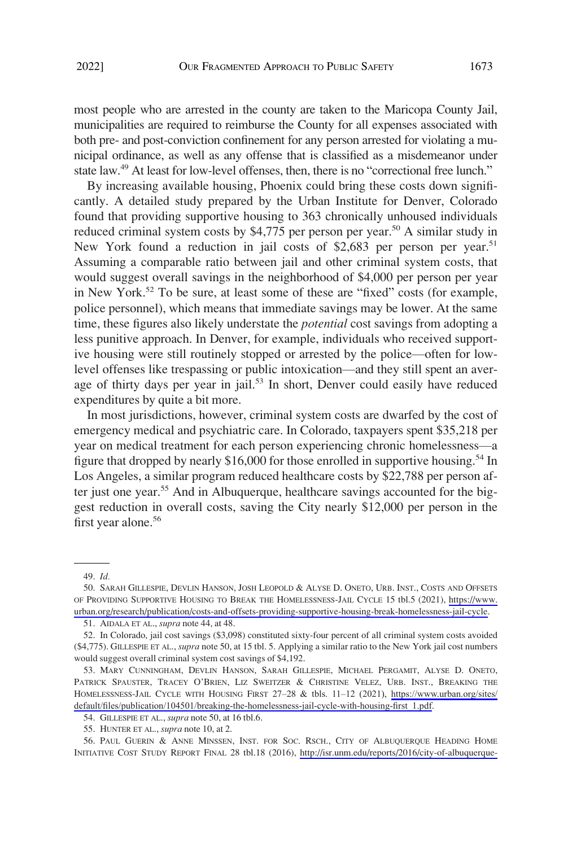most people who are arrested in the county are taken to the Maricopa County Jail, municipalities are required to reimburse the County for all expenses associated with both pre- and post-conviction confinement for any person arrested for violating a municipal ordinance, as well as any offense that is classified as a misdemeanor under state law.<sup>49</sup> At least for low-level offenses, then, there is no "correctional free lunch."

By increasing available housing, Phoenix could bring these costs down significantly. A detailed study prepared by the Urban Institute for Denver, Colorado found that providing supportive housing to 363 chronically unhoused individuals reduced criminal system costs by  $$4,775$  per person per year.<sup>50</sup> A similar study in New York found a reduction in jail costs of \$2,683 per person per year.<sup>51</sup> Assuming a comparable ratio between jail and other criminal system costs, that would suggest overall savings in the neighborhood of \$4,000 per person per year in New York.<sup>52</sup> To be sure, at least some of these are "fixed" costs (for example, police personnel), which means that immediate savings may be lower. At the same time, these figures also likely understate the *potential* cost savings from adopting a less punitive approach. In Denver, for example, individuals who received supportive housing were still routinely stopped or arrested by the police—often for lowlevel offenses like trespassing or public intoxication—and they still spent an average of thirty days per year in jail.<sup>53</sup> In short, Denver could easily have reduced expenditures by quite a bit more.

In most jurisdictions, however, criminal system costs are dwarfed by the cost of emergency medical and psychiatric care. In Colorado, taxpayers spent \$35,218 per year on medical treatment for each person experiencing chronic homelessness—a figure that dropped by nearly \$16,000 for those enrolled in supportive housing.<sup>54</sup> In Los Angeles, a similar program reduced healthcare costs by \$22,788 per person after just one year.<sup>55</sup> And in Albuquerque, healthcare savings accounted for the biggest reduction in overall costs, saving the City nearly \$12,000 per person in the first year alone.<sup>56</sup>

51. AIDALA ET AL., *supra* note 44, at 48.

<sup>49.</sup> *Id.* 

<sup>50.</sup> SARAH GILLESPIE, DEVLIN HANSON, JOSH LEOPOLD & ALYSE D. ONETO, URB. INST., COSTS AND OFFSETS OF PROVIDING SUPPORTIVE HOUSING TO BREAK THE HOMELESSNESS-JAIL CYCLE 15 tbl.5 (2021), [https://www.](https://www.urban.org/research/publication/costs-and-offsets-providing-supportive-housing-break-homelessness-jail-cycle) [urban.org/research/publication/costs-and-offsets-providing-supportive-housing-break-homelessness-jail-cycle](https://www.urban.org/research/publication/costs-and-offsets-providing-supportive-housing-break-homelessness-jail-cycle).

<sup>52.</sup> In Colorado, jail cost savings (\$3,098) constituted sixty-four percent of all criminal system costs avoided (\$4,775). GILLESPIE ET AL., *supra* note 50, at 15 tbl. 5. Applying a similar ratio to the New York jail cost numbers would suggest overall criminal system cost savings of \$4,192.

MARY CUNNINGHAM, DEVLIN HANSON, SARAH GILLESPIE, MICHAEL PERGAMIT, ALYSE D. ONETO, 53. PATRICK SPAUSTER, TRACEY O'BRIEN, LIZ SWEITZER & CHRISTINE VELEZ, URB. INST., BREAKING THE HOMELESSNESS-JAIL CYCLE WITH HOUSING FIRST 27–28 & tbls. 11–12 (2021), [https://www.urban.org/sites/](https://www.urban.org/sites/default/files/publication/104501/breaking-the-homelessness-jail-cycle-with-housing-first_1.pdf) [default/files/publication/104501/breaking-the-homelessness-jail-cycle-with-housing-first\\_1.pdf](https://www.urban.org/sites/default/files/publication/104501/breaking-the-homelessness-jail-cycle-with-housing-first_1.pdf).

<sup>54.</sup> GILLESPIE ET AL., *supra* note 50, at 16 tbl.6.

<sup>55.</sup> HUNTER ET AL., *supra* note 10, at 2.

<sup>56.</sup> PAUL GUERIN & ANNE MINSSEN, INST. FOR SOC. RSCH., CITY OF ALBUQUERQUE HEADING HOME INITIATIVE COST STUDY REPORT FINAL 28 tbl.18 (2016), [http://isr.unm.edu/reports/2016/city-of-albuquerque-](http://isr.unm.edu/reports/2016/city-of-albuquerque-heading-home-initiative-cost-study-report-final.pdf)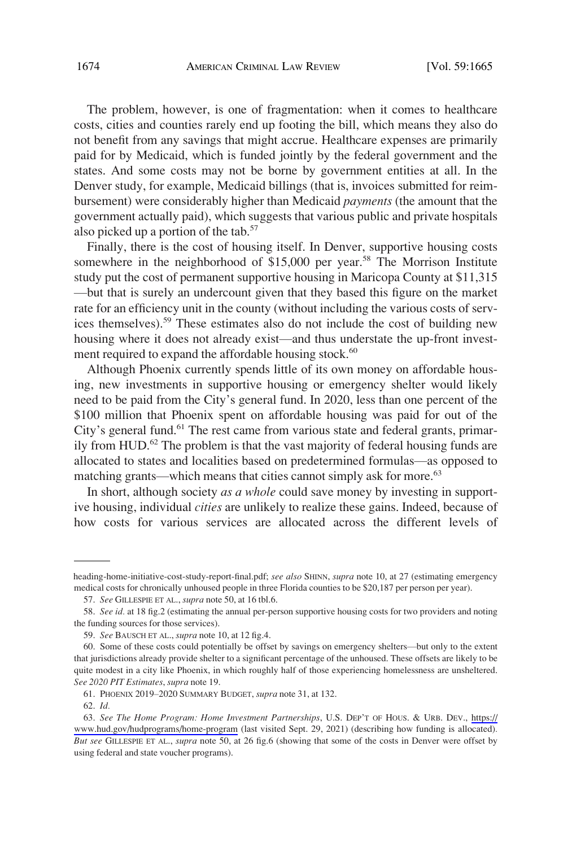The problem, however, is one of fragmentation: when it comes to healthcare costs, cities and counties rarely end up footing the bill, which means they also do not benefit from any savings that might accrue. Healthcare expenses are primarily paid for by Medicaid, which is funded jointly by the federal government and the states. And some costs may not be borne by government entities at all. In the Denver study, for example, Medicaid billings (that is, invoices submitted for reimbursement) were considerably higher than Medicaid *payments* (the amount that the government actually paid), which suggests that various public and private hospitals also picked up a portion of the tab.<sup>57</sup>

Finally, there is the cost of housing itself. In Denver, supportive housing costs somewhere in the neighborhood of  $$15,000$  per year.<sup>58</sup> The Morrison Institute study put the cost of permanent supportive housing in Maricopa County at \$11,315 —but that is surely an undercount given that they based this figure on the market rate for an efficiency unit in the county (without including the various costs of services themselves).59 These estimates also do not include the cost of building new housing where it does not already exist—and thus understate the up-front investment required to expand the affordable housing stock.<sup>60</sup>

Although Phoenix currently spends little of its own money on affordable housing, new investments in supportive housing or emergency shelter would likely need to be paid from the City's general fund. In 2020, less than one percent of the \$100 million that Phoenix spent on affordable housing was paid for out of the City's general fund.<sup>61</sup> The rest came from various state and federal grants, primarily from HUD.<sup>62</sup> The problem is that the vast majority of federal housing funds are allocated to states and localities based on predetermined formulas—as opposed to matching grants—which means that cities cannot simply ask for more.<sup>63</sup>

In short, although society *as a whole* could save money by investing in supportive housing, individual *cities* are unlikely to realize these gains. Indeed, because of how costs for various services are allocated across the different levels of

heading-home-initiative-cost-study-report-final.pdf; see also SHINN, supra note 10, at 27 (estimating emergency medical costs for chronically unhoused people in three Florida counties to be \$20,187 per person per year).

<sup>57.</sup> *See* GILLESPIE ET AL., *supra* note 50, at 16 tbl.6.

<sup>58.</sup> *See id.* at 18 fig.2 (estimating the annual per-person supportive housing costs for two providers and noting the funding sources for those services).

<sup>59.</sup> *See* BAUSCH ET AL., *supra* note 10, at 12 fig.4.

<sup>60.</sup> Some of these costs could potentially be offset by savings on emergency shelters—but only to the extent that jurisdictions already provide shelter to a significant percentage of the unhoused. These offsets are likely to be quite modest in a city like Phoenix, in which roughly half of those experiencing homelessness are unsheltered. *See 2020 PIT Estimates*, *supra* note 19.

<sup>61.</sup> PHOENIX 2019–2020 SUMMARY BUDGET, *supra* note 31, at 132.

<sup>62.</sup> *Id.* 

*See The Home Program: Home Investment Partnerships*, U.S. DEP'T OF HOUS. & URB. DEV., [https://](https://www.hud.gov/hudprograms/home-program) 63. [www.hud.gov/hudprograms/home-program](https://www.hud.gov/hudprograms/home-program) (last visited Sept. 29, 2021) (describing how funding is allocated)*. But see* GILLESPIE ET AL., *supra* note 50, at 26 fig.6 (showing that some of the costs in Denver were offset by using federal and state voucher programs).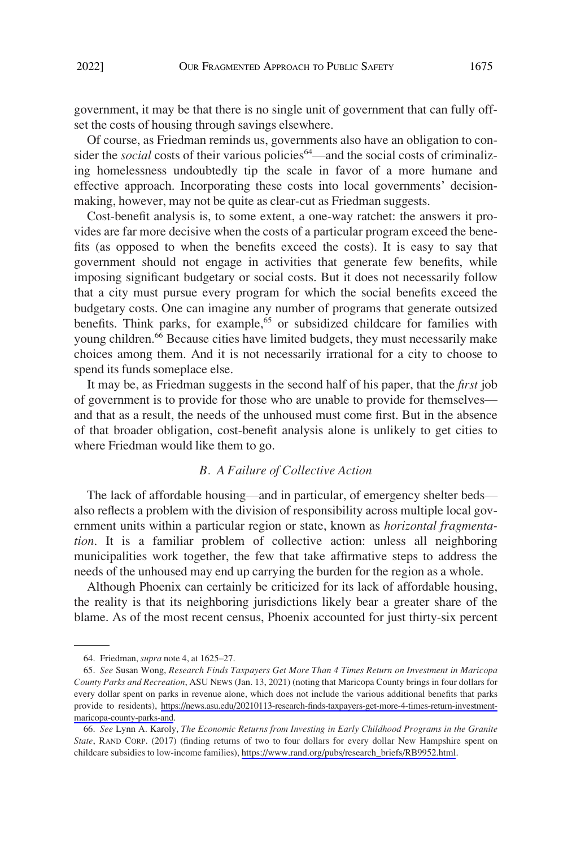<span id="page-10-0"></span>government, it may be that there is no single unit of government that can fully offset the costs of housing through savings elsewhere.

Of course, as Friedman reminds us, governments also have an obligation to consider the *social* costs of their various policies<sup>64</sup>—and the social costs of criminalizing homelessness undoubtedly tip the scale in favor of a more humane and effective approach. Incorporating these costs into local governments' decisionmaking, however, may not be quite as clear-cut as Friedman suggests.

Cost-benefit analysis is, to some extent, a one-way ratchet: the answers it provides are far more decisive when the costs of a particular program exceed the benefits (as opposed to when the benefits exceed the costs). It is easy to say that government should not engage in activities that generate few benefits, while imposing significant budgetary or social costs. But it does not necessarily follow that a city must pursue every program for which the social benefits exceed the budgetary costs. One can imagine any number of programs that generate outsized benefits. Think parks, for example,<sup>65</sup> or subsidized childcare for families with young children.<sup>66</sup> Because cities have limited budgets, they must necessarily make choices among them. And it is not necessarily irrational for a city to choose to spend its funds someplace else.

It may be, as Friedman suggests in the second half of his paper, that the *first* job of government is to provide for those who are unable to provide for themselves and that as a result, the needs of the unhoused must come first. But in the absence of that broader obligation, cost-benefit analysis alone is unlikely to get cities to where Friedman would like them to go.

# *B. A Failure of Collective Action*

The lack of affordable housing—and in particular, of emergency shelter beds also reflects a problem with the division of responsibility across multiple local government units within a particular region or state, known as *horizontal fragmentation*. It is a familiar problem of collective action: unless all neighboring municipalities work together, the few that take affirmative steps to address the needs of the unhoused may end up carrying the burden for the region as a whole.

Although Phoenix can certainly be criticized for its lack of affordable housing, the reality is that its neighboring jurisdictions likely bear a greater share of the blame. As of the most recent census, Phoenix accounted for just thirty-six percent

<sup>64.</sup> Friedman, *supra* note 4, at 1625–27.

*See* Susan Wong, *Research Finds Taxpayers Get More Than 4 Times Return on Investment in Maricopa*  65. *County Parks and Recreation*, ASU NEWS (Jan. 13, 2021) (noting that Maricopa County brings in four dollars for every dollar spent on parks in revenue alone, which does not include the various additional benefits that parks provide to residents), [https://news.asu.edu/20210113-research-finds-taxpayers-get-more-4-times-return-investment](https://news.asu.edu/20210113-research-finds-taxpayers-get-more-4-times-return-investment-maricopa-county-parks-and)[maricopa-county-parks-and](https://news.asu.edu/20210113-research-finds-taxpayers-get-more-4-times-return-investment-maricopa-county-parks-and).

*See* Lynn A. Karoly, *The Economic Returns from Investing in Early Childhood Programs in the Granite*  66. *State*, RAND CORP. (2017) (finding returns of two to four dollars for every dollar New Hampshire spent on childcare subsidies to low-income families), [https://www.rand.org/pubs/research\\_briefs/RB9952.html.](https://www.rand.org/pubs/research_briefs/RB9952.html)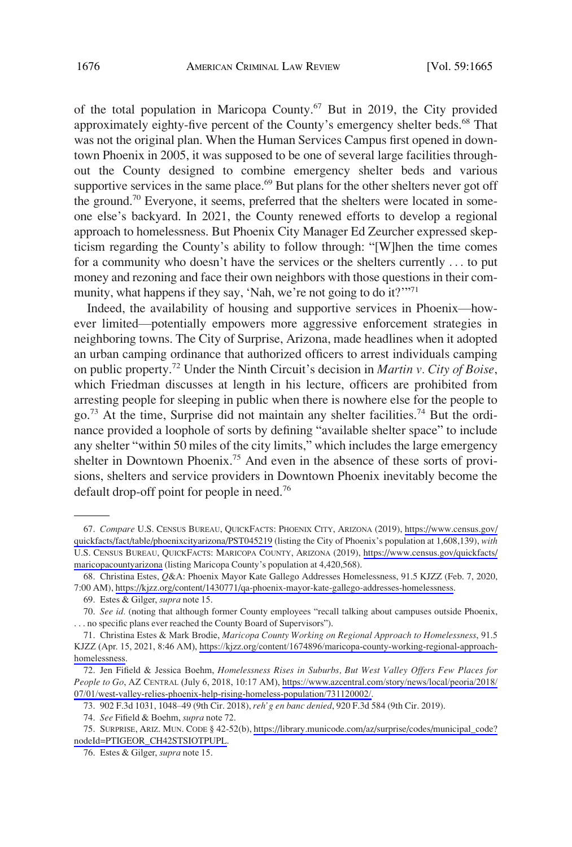of the total population in Maricopa County.<sup>67</sup> But in 2019, the City provided approximately eighty-five percent of the County's emergency shelter beds.<sup>68</sup> That was not the original plan. When the Human Services Campus first opened in downtown Phoenix in 2005, it was supposed to be one of several large facilities throughout the County designed to combine emergency shelter beds and various supportive services in the same place. $69$  But plans for the other shelters never got off the ground.70 Everyone, it seems, preferred that the shelters were located in someone else's backyard. In 2021, the County renewed efforts to develop a regional approach to homelessness. But Phoenix City Manager Ed Zeurcher expressed skepticism regarding the County's ability to follow through: "[W]hen the time comes for a community who doesn't have the services or the shelters currently . . . to put money and rezoning and face their own neighbors with those questions in their community, what happens if they say, 'Nah, we're not going to do it?'"<sup>71</sup>

Indeed, the availability of housing and supportive services in Phoenix—however limited—potentially empowers more aggressive enforcement strategies in neighboring towns. The City of Surprise, Arizona, made headlines when it adopted an urban camping ordinance that authorized officers to arrest individuals camping on public property.72 Under the Ninth Circuit's decision in *Martin v. City of Boise*, which Friedman discusses at length in his lecture, officers are prohibited from arresting people for sleeping in public when there is nowhere else for the people to go.<sup>73</sup> At the time, Surprise did not maintain any shelter facilities.<sup>74</sup> But the ordinance provided a loophole of sorts by defining "available shelter space" to include any shelter "within 50 miles of the city limits," which includes the large emergency shelter in Downtown Phoenix.<sup>75</sup> And even in the absence of these sorts of provisions, shelters and service providers in Downtown Phoenix inevitably become the default drop-off point for people in need.76

*Compare* U.S. CENSUS BUREAU, QUICKFACTS: PHOENIX CITY, ARIZONA (2019), [https://www.census.gov/](https://www.census.gov/quickfacts/fact/table/phoenixcityarizona/PST045219) 67. [quickfacts/fact/table/phoenixcityarizona/PST045219](https://www.census.gov/quickfacts/fact/table/phoenixcityarizona/PST045219) (listing the City of Phoenix's population at 1,608,139), *with*  U.S. CENSUS BUREAU, QUICKFACTS: MARICOPA COUNTY, ARIZONA (2019), [https://www.census.gov/quickfacts/](https://www.census.gov/quickfacts/maricopacountyarizona) [maricopacountyarizona](https://www.census.gov/quickfacts/maricopacountyarizona) (listing Maricopa County's population at 4,420,568).

Christina Estes, *Q*&A: Phoenix Mayor Kate Gallego Addresses Homelessness, 91.5 KJZZ (Feb. 7, 2020, 68. 7:00 AM),<https://kjzz.org/content/1430771/qa-phoenix-mayor-kate-gallego-addresses-homelessness>.

<sup>69.</sup> Estes & Gilger, *supra* note 15.

<sup>70.</sup> *See id.* (noting that although former County employees "recall talking about campuses outside Phoenix, . . . no specific plans ever reached the County Board of Supervisors").

<sup>71.</sup> Christina Estes & Mark Brodie, Maricopa County Working on Regional Approach to Homelessness, 91.5 KJZZ (Apr. 15, 2021, 8:46 AM), [https://kjzz.org/content/1674896/maricopa-county-working-regional-approach](https://kjzz.org/content/1674896/maricopa-county-working-regional-approach-homelessness)[homelessness.](https://kjzz.org/content/1674896/maricopa-county-working-regional-approach-homelessness)

<sup>72.</sup> Jen Fifield & Jessica Boehm, *Homelessness Rises in Suburbs, But West Valley Offers Few Places for People to Go*, AZ CENTRAL (July 6, 2018, 10:17 AM), [https://www.azcentral.com/story/news/local/peoria/2018/](https://www.azcentral.com/story/news/local/peoria/2018/07/01/west-valley-relies-phoenix-help-rising-homeless-population/731120002/) [07/01/west-valley-relies-phoenix-help-rising-homeless-population/731120002/.](https://www.azcentral.com/story/news/local/peoria/2018/07/01/west-valley-relies-phoenix-help-rising-homeless-population/731120002/)

<sup>73. 902</sup> F.3d 1031, 1048–49 (9th Cir. 2018), *reh'g en banc denied*, 920 F.3d 584 (9th Cir. 2019).

<sup>74.</sup> *See* Fifield & Boehm, *supra* note 72.

<sup>75.</sup> SURPRISE, ARIZ. MUN. CODE § 42-52(b), https://library.municode.com/az/surprise/codes/municipal\_code? [nodeId=PTIGEOR\\_CH42STSIOTPUPL.](https://library.municode.com/az/surprise/codes/municipal_code?nodeId=PTIGEOR_CH42STSIOTPUPL)

<sup>76.</sup> Estes & Gilger, *supra* note 15.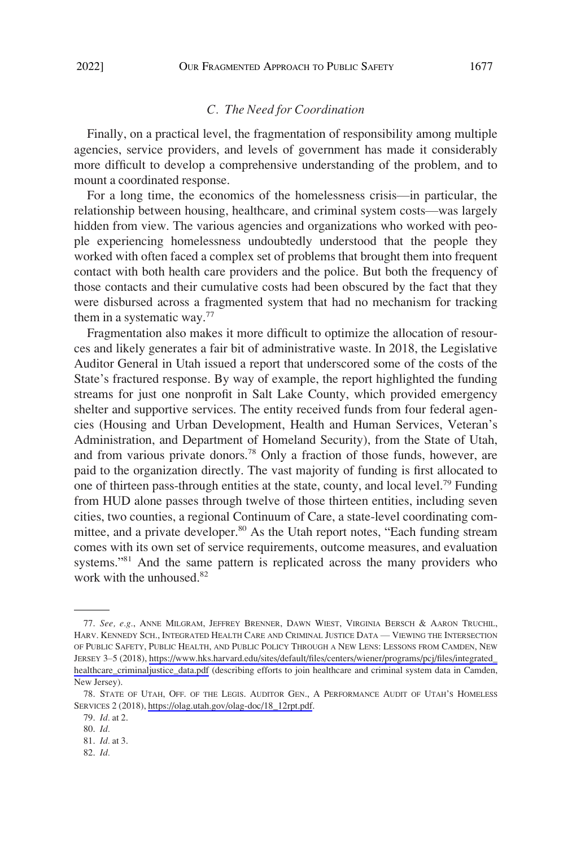## *C. The Need for Coordination*

<span id="page-12-0"></span>Finally, on a practical level, the fragmentation of responsibility among multiple agencies, service providers, and levels of government has made it considerably more difficult to develop a comprehensive understanding of the problem, and to mount a coordinated response.

For a long time, the economics of the homelessness crisis—in particular, the relationship between housing, healthcare, and criminal system costs—was largely hidden from view. The various agencies and organizations who worked with people experiencing homelessness undoubtedly understood that the people they worked with often faced a complex set of problems that brought them into frequent contact with both health care providers and the police. But both the frequency of those contacts and their cumulative costs had been obscured by the fact that they were disbursed across a fragmented system that had no mechanism for tracking them in a systematic way. $77$ 

Fragmentation also makes it more difficult to optimize the allocation of resources and likely generates a fair bit of administrative waste. In 2018, the Legislative Auditor General in Utah issued a report that underscored some of the costs of the State's fractured response. By way of example, the report highlighted the funding streams for just one nonprofit in Salt Lake County, which provided emergency shelter and supportive services. The entity received funds from four federal agencies (Housing and Urban Development, Health and Human Services, Veteran's Administration, and Department of Homeland Security), from the State of Utah, and from various private donors.<sup>78</sup> Only a fraction of those funds, however, are paid to the organization directly. The vast majority of funding is first allocated to one of thirteen pass-through entities at the state, county, and local level.<sup>79</sup> Funding from HUD alone passes through twelve of those thirteen entities, including seven cities, two counties, a regional Continuum of Care, a state-level coordinating committee, and a private developer.<sup>80</sup> As the Utah report notes, "Each funding stream comes with its own set of service requirements, outcome measures, and evaluation systems."<sup>81</sup> And the same pattern is replicated across the many providers who work with the unhoused.<sup>82</sup>

*See, e.g.*, ANNE MILGRAM, JEFFREY BRENNER, DAWN WIEST, VIRGINIA BERSCH & AARON TRUCHIL, 77. HARV. KENNEDY SCH., INTEGRATED HEALTH CARE AND CRIMINAL JUSTICE DATA — VIEWING THE INTERSECTION OF PUBLIC SAFETY, PUBLIC HEALTH, AND PUBLIC POLICY THROUGH A NEW LENS: LESSONS FROM CAMDEN, NEW JERSEY 3–5 (2018), [https://www.hks.harvard.edu/sites/default/files/centers/wiener/programs/pcj/files/integrated\\_](https://www.hks.harvard.edu/sites/default/files/centers/wiener/programs/pcj/files/integrated_healthcare_criminaljustice_data.pdf) [healthcare\\_criminaljustice\\_data.pdf](https://www.hks.harvard.edu/sites/default/files/centers/wiener/programs/pcj/files/integrated_healthcare_criminaljustice_data.pdf) (describing efforts to join healthcare and criminal system data in Camden, New Jersey).

<sup>78.</sup> STATE OF UTAH, OFF. OF THE LEGIS. AUDITOR GEN., A PERFORMANCE AUDIT OF UTAH'S HOMELESS SERVICES 2 (2018), [https://olag.utah.gov/olag-doc/18\\_12rpt.pdf.](https://olag.utah.gov/olag-doc/18_12rpt.pdf)

<sup>79.</sup> *Id.* at 2.

<sup>80.</sup> *Id.* 

<sup>81.</sup> *Id.* at 3. 82. *Id.*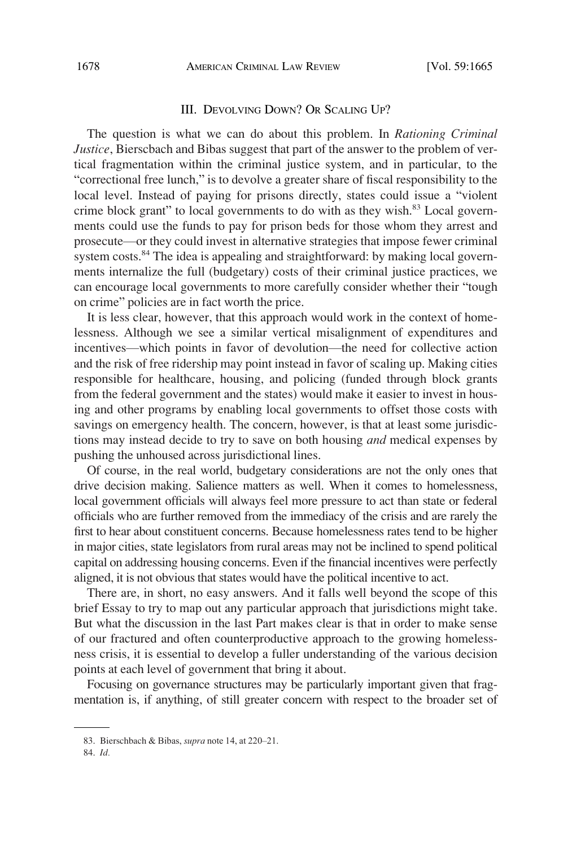## III. DEVOLVING DOWN? OR SCALING UP?

<span id="page-13-0"></span>The question is what we can do about this problem. In *Rationing Criminal Justice*, Bierscbach and Bibas suggest that part of the answer to the problem of vertical fragmentation within the criminal justice system, and in particular, to the "correctional free lunch," is to devolve a greater share of fiscal responsibility to the local level. Instead of paying for prisons directly, states could issue a "violent crime block grant" to local governments to do with as they wish. $83$  Local governments could use the funds to pay for prison beds for those whom they arrest and prosecute—or they could invest in alternative strategies that impose fewer criminal system costs.<sup>84</sup> The idea is appealing and straightforward: by making local governments internalize the full (budgetary) costs of their criminal justice practices, we can encourage local governments to more carefully consider whether their "tough on crime" policies are in fact worth the price.

It is less clear, however, that this approach would work in the context of homelessness. Although we see a similar vertical misalignment of expenditures and incentives—which points in favor of devolution—the need for collective action and the risk of free ridership may point instead in favor of scaling up. Making cities responsible for healthcare, housing, and policing (funded through block grants from the federal government and the states) would make it easier to invest in housing and other programs by enabling local governments to offset those costs with savings on emergency health. The concern, however, is that at least some jurisdictions may instead decide to try to save on both housing *and* medical expenses by pushing the unhoused across jurisdictional lines.

Of course, in the real world, budgetary considerations are not the only ones that drive decision making. Salience matters as well. When it comes to homelessness, local government officials will always feel more pressure to act than state or federal officials who are further removed from the immediacy of the crisis and are rarely the first to hear about constituent concerns. Because homelessness rates tend to be higher in major cities, state legislators from rural areas may not be inclined to spend political capital on addressing housing concerns. Even if the financial incentives were perfectly aligned, it is not obvious that states would have the political incentive to act.

There are, in short, no easy answers. And it falls well beyond the scope of this brief Essay to try to map out any particular approach that jurisdictions might take. But what the discussion in the last Part makes clear is that in order to make sense of our fractured and often counterproductive approach to the growing homelessness crisis, it is essential to develop a fuller understanding of the various decision points at each level of government that bring it about.

Focusing on governance structures may be particularly important given that fragmentation is, if anything, of still greater concern with respect to the broader set of

<sup>83.</sup> Bierschbach & Bibas, *supra* note 14, at 220–21.

<sup>84.</sup> *Id.*